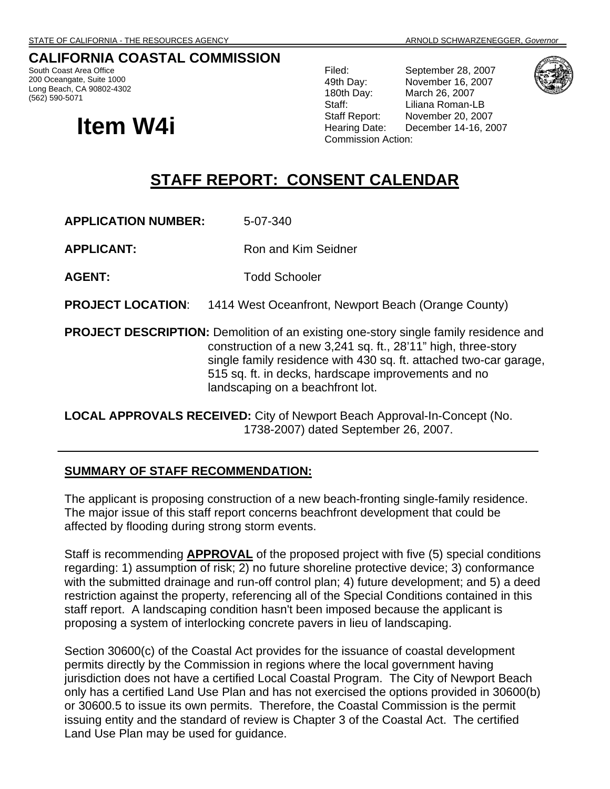### **CALIFORNIA COASTAL COMMISSION**

South Coast Area Office 200 Oceangate, Suite 1000 Long Beach, CA 90802-4302 (562) 590-5071

# **Item W4i**

Filed: September 28, 2007 49th Day: November 16, 2007 180th Day: March 26, 2007 Staff: Liliana Roman-LB Staff Report: November 20, 2007 Hearing Date: December 14-16, 2007 Commission Action:



## **STAFF REPORT: CONSENT CALENDAR**

**APPLICATION NUMBER:** 5-07-340

**APPLICANT:** Ron and Kim Seidner

**AGENT:** Todd Schooler

**PROJECT LOCATION**: 1414 West Oceanfront, Newport Beach (Orange County)

**PROJECT DESCRIPTION:** Demolition of an existing one-story single family residence and construction of a new 3,241 sq. ft., 28'11" high, three-story single family residence with 430 sq. ft. attached two-car garage, 515 sq. ft. in decks, hardscape improvements and no landscaping on a beachfront lot.

**LOCAL APPROVALS RECEIVED:** City of Newport Beach Approval-In-Concept (No. 1738-2007) dated September 26, 2007.

#### **SUMMARY OF STAFF RECOMMENDATION:**

The applicant is proposing construction of a new beach-fronting single-family residence. The major issue of this staff report concerns beachfront development that could be affected by flooding during strong storm events.

Staff is recommending **APPROVAL** of the proposed project with five (5) special conditions regarding: 1) assumption of risk; 2) no future shoreline protective device; 3) conformance with the submitted drainage and run-off control plan; 4) future development; and 5) a deed restriction against the property, referencing all of the Special Conditions contained in this staff report. A landscaping condition hasn't been imposed because the applicant is proposing a system of interlocking concrete pavers in lieu of landscaping.

Section 30600(c) of the Coastal Act provides for the issuance of coastal development permits directly by the Commission in regions where the local government having jurisdiction does not have a certified Local Coastal Program. The City of Newport Beach only has a certified Land Use Plan and has not exercised the options provided in 30600(b) or 30600.5 to issue its own permits. Therefore, the Coastal Commission is the permit issuing entity and the standard of review is Chapter 3 of the Coastal Act. The certified Land Use Plan may be used for guidance.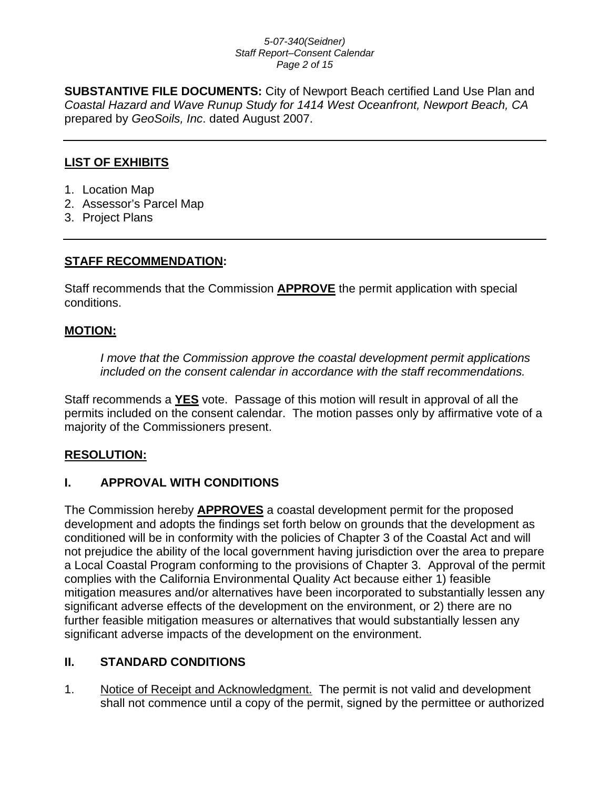#### *5-07-340(Seidner) Staff Report–Consent Calendar Page 2 of 15*

**SUBSTANTIVE FILE DOCUMENTS:** City of Newport Beach certified Land Use Plan and *Coastal Hazard and Wave Runup Study for 1414 West Oceanfront, Newport Beach, CA* prepared by *GeoSoils, Inc*. dated August 2007.

#### **LIST OF EXHIBITS**

- 1. Location Map
- 2. Assessor's Parcel Map
- 3. Project Plans

#### **STAFF RECOMMENDATION:**

Staff recommends that the Commission **APPROVE** the permit application with special conditions.

#### **MOTION:**

*I move that the Commission approve the coastal development permit applications included on the consent calendar in accordance with the staff recommendations.*

Staff recommends a **YES** vote. Passage of this motion will result in approval of all the permits included on the consent calendar. The motion passes only by affirmative vote of a majority of the Commissioners present.

#### **RESOLUTION:**

### **I. APPROVAL WITH CONDITIONS**

The Commission hereby **APPROVES** a coastal development permit for the proposed development and adopts the findings set forth below on grounds that the development as conditioned will be in conformity with the policies of Chapter 3 of the Coastal Act and will not prejudice the ability of the local government having jurisdiction over the area to prepare a Local Coastal Program conforming to the provisions of Chapter 3. Approval of the permit complies with the California Environmental Quality Act because either 1) feasible mitigation measures and/or alternatives have been incorporated to substantially lessen any significant adverse effects of the development on the environment, or 2) there are no further feasible mitigation measures or alternatives that would substantially lessen any significant adverse impacts of the development on the environment.

### **II. STANDARD CONDITIONS**

1. Notice of Receipt and Acknowledgment. The permit is not valid and development shall not commence until a copy of the permit, signed by the permittee or authorized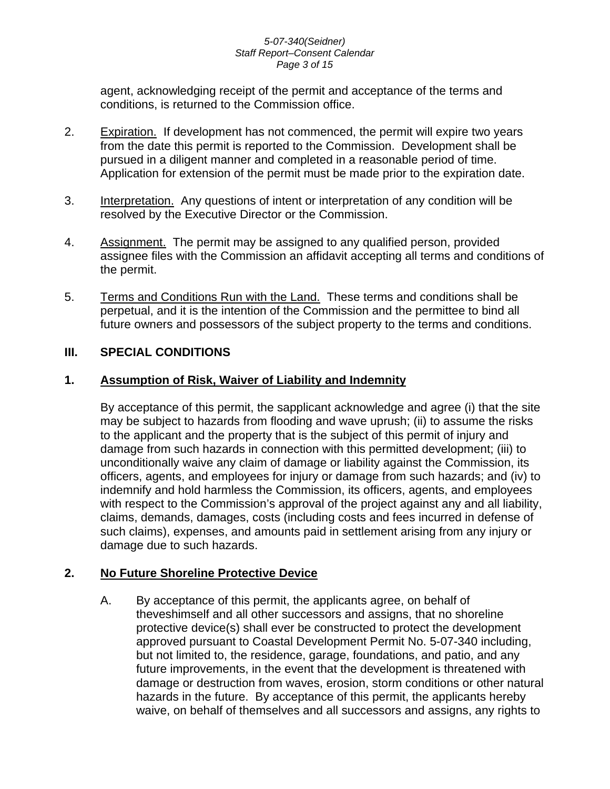#### *5-07-340(Seidner) Staff Report–Consent Calendar Page 3 of 15*

agent, acknowledging receipt of the permit and acceptance of the terms and conditions, is returned to the Commission office.

- 2. Expiration. If development has not commenced, the permit will expire two years from the date this permit is reported to the Commission. Development shall be pursued in a diligent manner and completed in a reasonable period of time. Application for extension of the permit must be made prior to the expiration date.
- 3. Interpretation. Any questions of intent or interpretation of any condition will be resolved by the Executive Director or the Commission.
- 4. Assignment. The permit may be assigned to any qualified person, provided assignee files with the Commission an affidavit accepting all terms and conditions of the permit.
- 5. Terms and Conditions Run with the Land. These terms and conditions shall be perpetual, and it is the intention of the Commission and the permittee to bind all future owners and possessors of the subject property to the terms and conditions.

### **III. SPECIAL CONDITIONS**

#### **1. Assumption of Risk, Waiver of Liability and Indemnity**

By acceptance of this permit, the sapplicant acknowledge and agree (i) that the site may be subject to hazards from flooding and wave uprush; (ii) to assume the risks to the applicant and the property that is the subject of this permit of injury and damage from such hazards in connection with this permitted development; (iii) to unconditionally waive any claim of damage or liability against the Commission, its officers, agents, and employees for injury or damage from such hazards; and (iv) to indemnify and hold harmless the Commission, its officers, agents, and employees with respect to the Commission's approval of the project against any and all liability, claims, demands, damages, costs (including costs and fees incurred in defense of such claims), expenses, and amounts paid in settlement arising from any injury or damage due to such hazards.

### **2. No Future Shoreline Protective Device**

A. By acceptance of this permit, the applicants agree, on behalf of theveshimself and all other successors and assigns, that no shoreline protective device(s) shall ever be constructed to protect the development approved pursuant to Coastal Development Permit No. 5-07-340 including, but not limited to, the residence, garage, foundations, and patio, and any future improvements, in the event that the development is threatened with damage or destruction from waves, erosion, storm conditions or other natural hazards in the future. By acceptance of this permit, the applicants hereby waive, on behalf of themselves and all successors and assigns, any rights to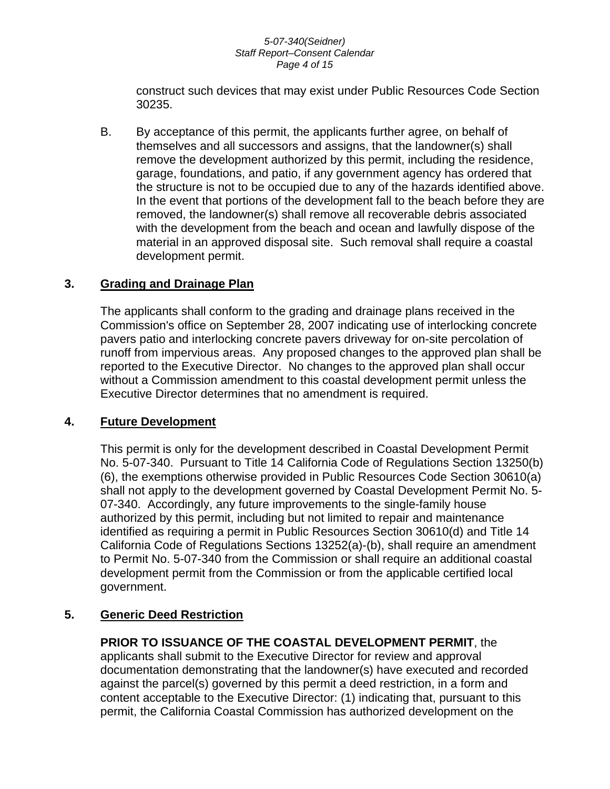#### *5-07-340(Seidner) Staff Report–Consent Calendar Page 4 of 15*

construct such devices that may exist under Public Resources Code Section 30235.

B. By acceptance of this permit, the applicants further agree, on behalf of themselves and all successors and assigns, that the landowner(s) shall remove the development authorized by this permit, including the residence, garage, foundations, and patio, if any government agency has ordered that the structure is not to be occupied due to any of the hazards identified above. In the event that portions of the development fall to the beach before they are removed, the landowner(s) shall remove all recoverable debris associated with the development from the beach and ocean and lawfully dispose of the material in an approved disposal site. Such removal shall require a coastal development permit.

#### **3. Grading and Drainage Plan**

The applicants shall conform to the grading and drainage plans received in the Commission's office on September 28, 2007 indicating use of interlocking concrete pavers patio and interlocking concrete pavers driveway for on-site percolation of runoff from impervious areas. Any proposed changes to the approved plan shall be reported to the Executive Director. No changes to the approved plan shall occur without a Commission amendment to this coastal development permit unless the Executive Director determines that no amendment is required.

#### **4. Future Development**

This permit is only for the development described in Coastal Development Permit No. 5-07-340. Pursuant to Title 14 California Code of Regulations Section 13250(b) (6), the exemptions otherwise provided in Public Resources Code Section 30610(a) shall not apply to the development governed by Coastal Development Permit No. 5- 07-340. Accordingly, any future improvements to the single-family house authorized by this permit, including but not limited to repair and maintenance identified as requiring a permit in Public Resources Section 30610(d) and Title 14 California Code of Regulations Sections 13252(a)-(b), shall require an amendment to Permit No. 5-07-340 from the Commission or shall require an additional coastal development permit from the Commission or from the applicable certified local government.

#### **5. Generic Deed Restriction**

**PRIOR TO ISSUANCE OF THE COASTAL DEVELOPMENT PERMIT**, the applicants shall submit to the Executive Director for review and approval documentation demonstrating that the landowner(s) have executed and recorded against the parcel(s) governed by this permit a deed restriction, in a form and content acceptable to the Executive Director: (1) indicating that, pursuant to this permit, the California Coastal Commission has authorized development on the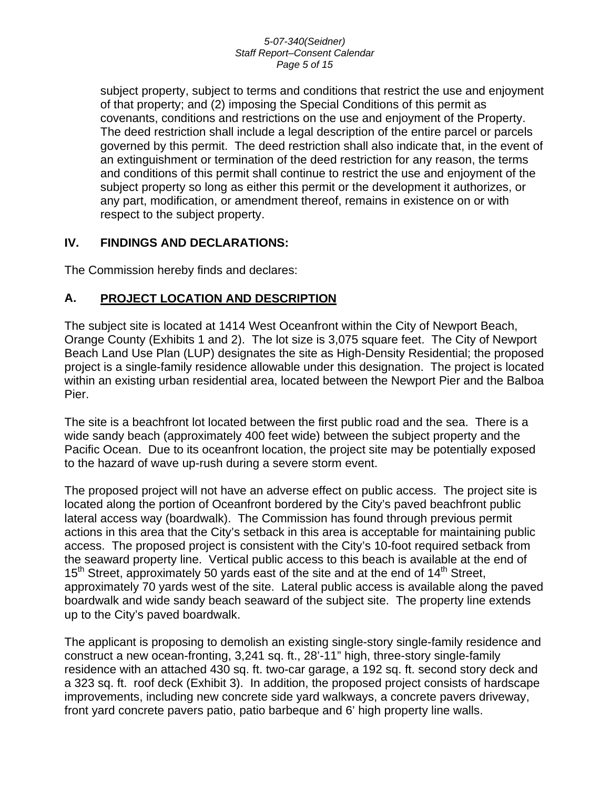#### *5-07-340(Seidner) Staff Report–Consent Calendar Page 5 of 15*

subject property, subject to terms and conditions that restrict the use and enjoyment of that property; and (2) imposing the Special Conditions of this permit as covenants, conditions and restrictions on the use and enjoyment of the Property. The deed restriction shall include a legal description of the entire parcel or parcels governed by this permit. The deed restriction shall also indicate that, in the event of an extinguishment or termination of the deed restriction for any reason, the terms and conditions of this permit shall continue to restrict the use and enjoyment of the subject property so long as either this permit or the development it authorizes, or any part, modification, or amendment thereof, remains in existence on or with respect to the subject property.

### **IV. FINDINGS AND DECLARATIONS:**

The Commission hereby finds and declares:

### **A. PROJECT LOCATION AND DESCRIPTION**

The subject site is located at 1414 West Oceanfront within the City of Newport Beach, Orange County (Exhibits 1 and 2). The lot size is 3,075 square feet. The City of Newport Beach Land Use Plan (LUP) designates the site as High-Density Residential; the proposed project is a single-family residence allowable under this designation. The project is located within an existing urban residential area, located between the Newport Pier and the Balboa Pier.

The site is a beachfront lot located between the first public road and the sea. There is a wide sandy beach (approximately 400 feet wide) between the subject property and the Pacific Ocean. Due to its oceanfront location, the project site may be potentially exposed to the hazard of wave up-rush during a severe storm event.

The proposed project will not have an adverse effect on public access. The project site is located along the portion of Oceanfront bordered by the City's paved beachfront public lateral access way (boardwalk). The Commission has found through previous permit actions in this area that the City's setback in this area is acceptable for maintaining public access. The proposed project is consistent with the City's 10-foot required setback from the seaward property line. Vertical public access to this beach is available at the end of 15<sup>th</sup> Street, approximately 50 yards east of the site and at the end of 14<sup>th</sup> Street, approximately 70 yards west of the site. Lateral public access is available along the paved boardwalk and wide sandy beach seaward of the subject site. The property line extends up to the City's paved boardwalk.

The applicant is proposing to demolish an existing single-story single-family residence and construct a new ocean-fronting, 3,241 sq. ft., 28'-11" high, three-story single-family residence with an attached 430 sq. ft. two-car garage, a 192 sq. ft. second story deck and a 323 sq. ft. roof deck (Exhibit 3). In addition, the proposed project consists of hardscape improvements, including new concrete side yard walkways, a concrete pavers driveway, front yard concrete pavers patio, patio barbeque and 6' high property line walls.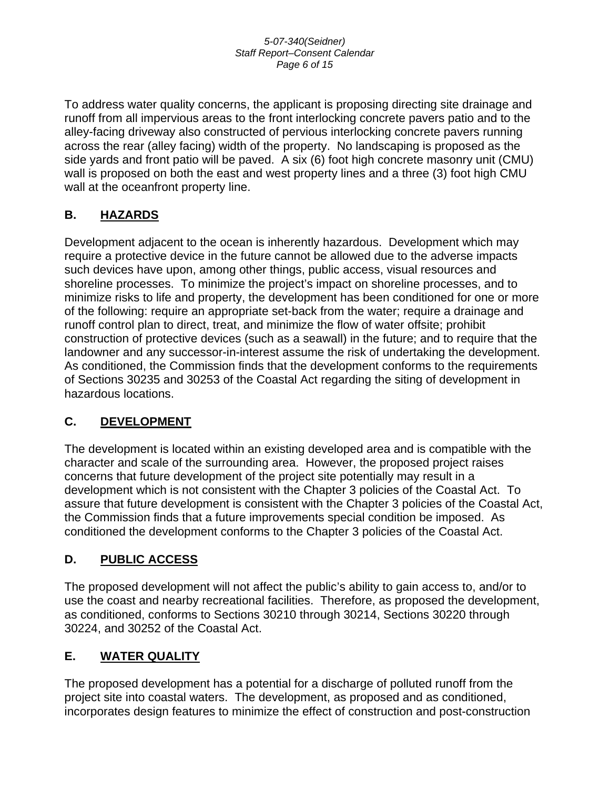To address water quality concerns, the applicant is proposing directing site drainage and runoff from all impervious areas to the front interlocking concrete pavers patio and to the alley-facing driveway also constructed of pervious interlocking concrete pavers running across the rear (alley facing) width of the property. No landscaping is proposed as the side yards and front patio will be paved. A six (6) foot high concrete masonry unit (CMU) wall is proposed on both the east and west property lines and a three (3) foot high CMU wall at the oceanfront property line.

### **B. HAZARDS**

Development adjacent to the ocean is inherently hazardous. Development which may require a protective device in the future cannot be allowed due to the adverse impacts such devices have upon, among other things, public access, visual resources and shoreline processes. To minimize the project's impact on shoreline processes, and to minimize risks to life and property, the development has been conditioned for one or more of the following: require an appropriate set-back from the water; require a drainage and runoff control plan to direct, treat, and minimize the flow of water offsite; prohibit construction of protective devices (such as a seawall) in the future; and to require that the landowner and any successor-in-interest assume the risk of undertaking the development. As conditioned, the Commission finds that the development conforms to the requirements of Sections 30235 and 30253 of the Coastal Act regarding the siting of development in hazardous locations.

### **C. DEVELOPMENT**

The development is located within an existing developed area and is compatible with the character and scale of the surrounding area. However, the proposed project raises concerns that future development of the project site potentially may result in a development which is not consistent with the Chapter 3 policies of the Coastal Act. To assure that future development is consistent with the Chapter 3 policies of the Coastal Act, the Commission finds that a future improvements special condition be imposed. As conditioned the development conforms to the Chapter 3 policies of the Coastal Act.

### **D. PUBLIC ACCESS**

The proposed development will not affect the public's ability to gain access to, and/or to use the coast and nearby recreational facilities. Therefore, as proposed the development, as conditioned, conforms to Sections 30210 through 30214, Sections 30220 through 30224, and 30252 of the Coastal Act.

### **E. WATER QUALITY**

The proposed development has a potential for a discharge of polluted runoff from the project site into coastal waters. The development, as proposed and as conditioned, incorporates design features to minimize the effect of construction and post-construction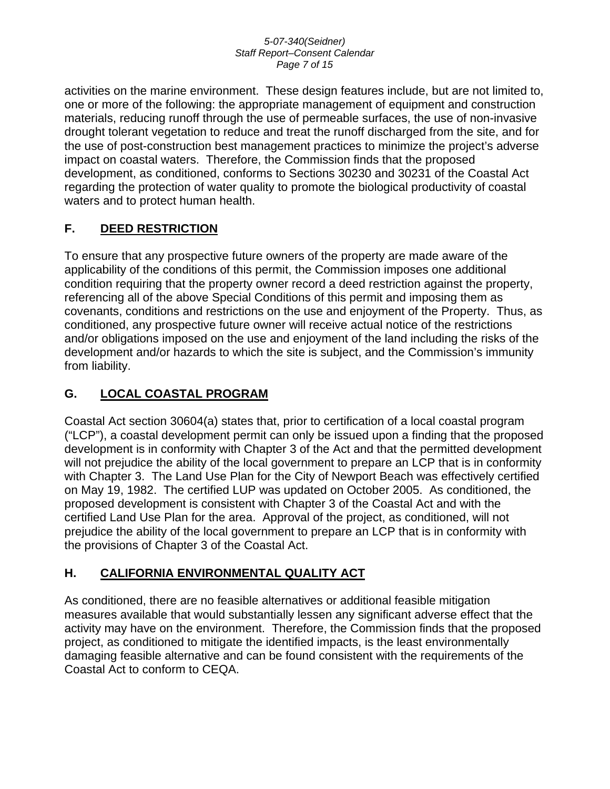#### *5-07-340(Seidner) Staff Report–Consent Calendar Page 7 of 15*

activities on the marine environment. These design features include, but are not limited to, one or more of the following: the appropriate management of equipment and construction materials, reducing runoff through the use of permeable surfaces, the use of non-invasive drought tolerant vegetation to reduce and treat the runoff discharged from the site, and for the use of post-construction best management practices to minimize the project's adverse impact on coastal waters. Therefore, the Commission finds that the proposed development, as conditioned, conforms to Sections 30230 and 30231 of the Coastal Act regarding the protection of water quality to promote the biological productivity of coastal waters and to protect human health.

### **F. DEED RESTRICTION**

To ensure that any prospective future owners of the property are made aware of the applicability of the conditions of this permit, the Commission imposes one additional condition requiring that the property owner record a deed restriction against the property, referencing all of the above Special Conditions of this permit and imposing them as covenants, conditions and restrictions on the use and enjoyment of the Property. Thus, as conditioned, any prospective future owner will receive actual notice of the restrictions and/or obligations imposed on the use and enjoyment of the land including the risks of the development and/or hazards to which the site is subject, and the Commission's immunity from liability.

### **G. LOCAL COASTAL PROGRAM**

Coastal Act section 30604(a) states that, prior to certification of a local coastal program ("LCP"), a coastal development permit can only be issued upon a finding that the proposed development is in conformity with Chapter 3 of the Act and that the permitted development will not prejudice the ability of the local government to prepare an LCP that is in conformity with Chapter 3. The Land Use Plan for the City of Newport Beach was effectively certified on May 19, 1982. The certified LUP was updated on October 2005. As conditioned, the proposed development is consistent with Chapter 3 of the Coastal Act and with the certified Land Use Plan for the area. Approval of the project, as conditioned, will not prejudice the ability of the local government to prepare an LCP that is in conformity with the provisions of Chapter 3 of the Coastal Act.

### **H. CALIFORNIA ENVIRONMENTAL QUALITY ACT**

As conditioned, there are no feasible alternatives or additional feasible mitigation measures available that would substantially lessen any significant adverse effect that the activity may have on the environment. Therefore, the Commission finds that the proposed project, as conditioned to mitigate the identified impacts, is the least environmentally damaging feasible alternative and can be found consistent with the requirements of the Coastal Act to conform to CEQA.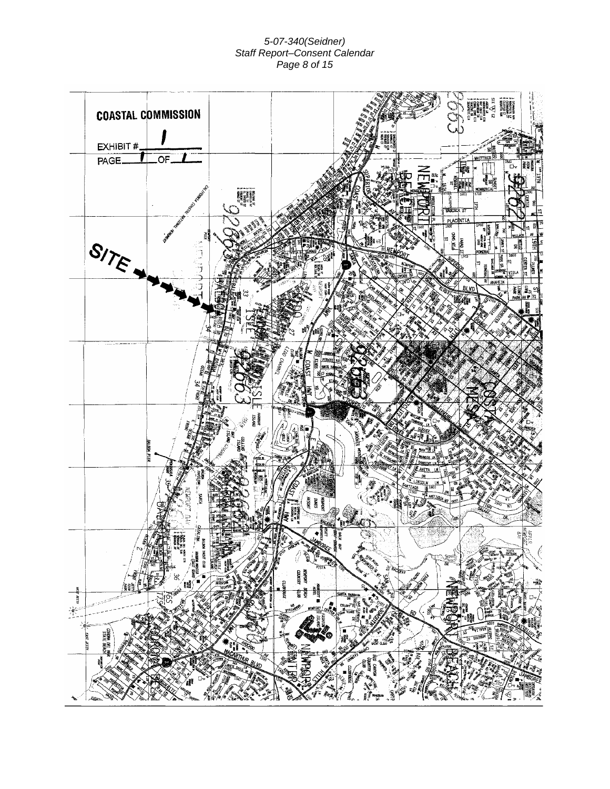#### *5-07-340(Seidner) Staff Report–Consent Calendar Page 8 of 15*

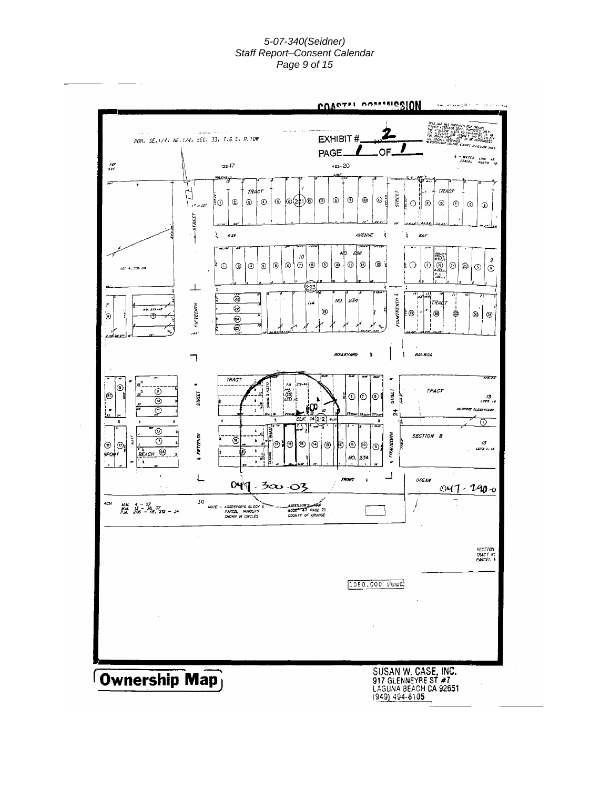#### *5-07-340(Seidner) Staff Report–Consent Calendar Page 9 of 15*

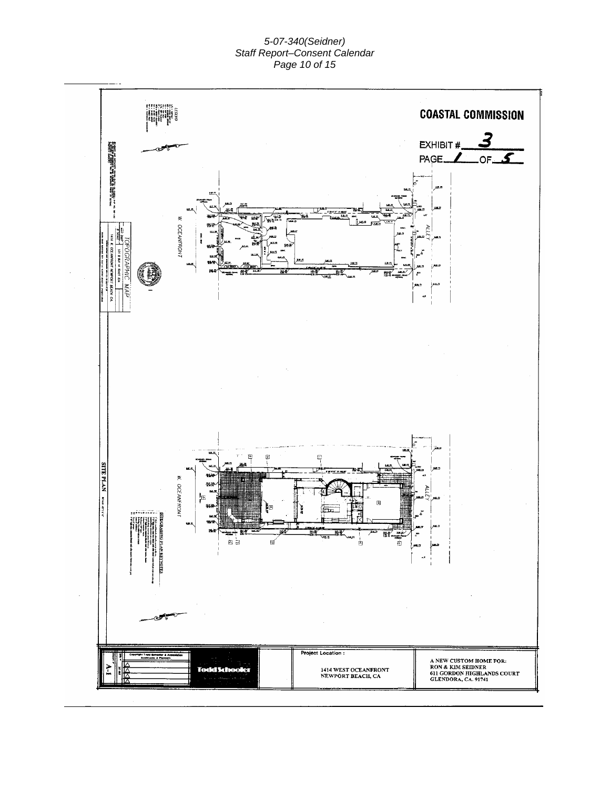#### *5-07-340(Seidner) Staff Report–Consent Calendar Page 10 of 15*

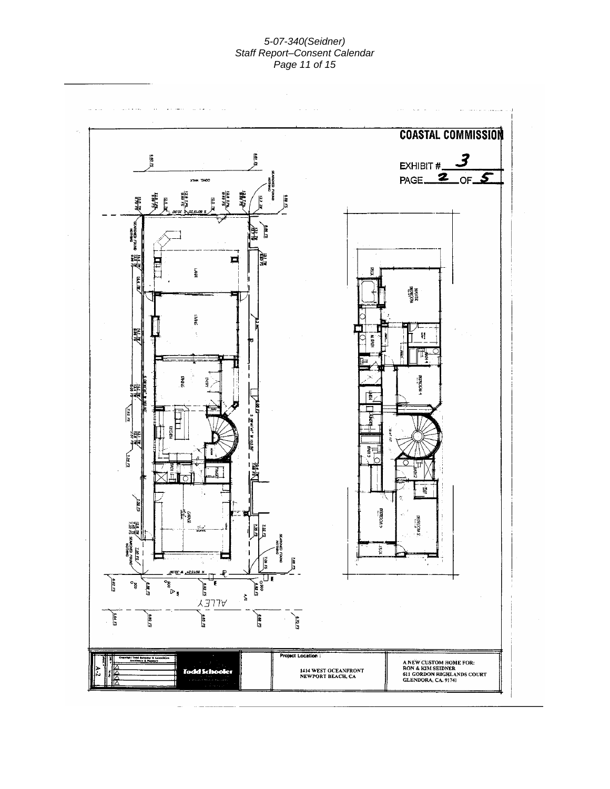#### *5-07-340(Seidner) Staff Report–Consent Calendar Page 11 of 15*

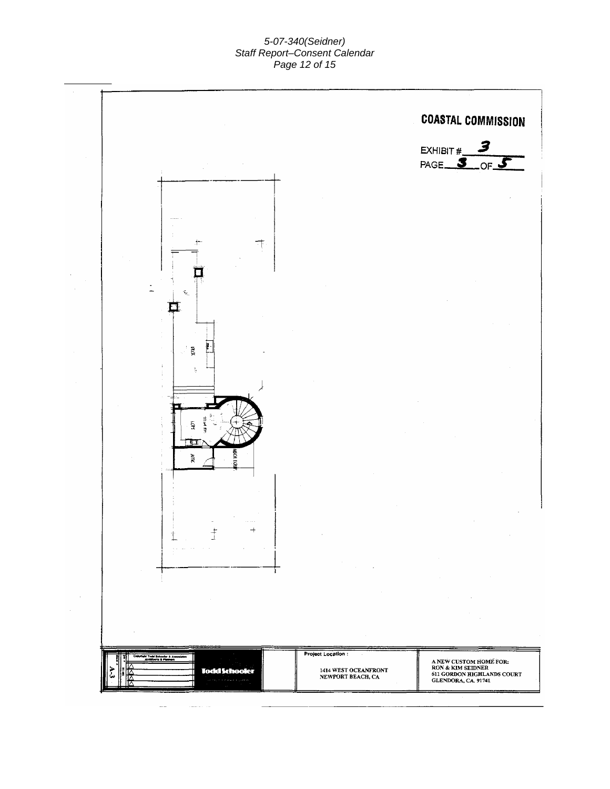#### *5-07-340(Seidner) Staff Report–Consent Calendar Page 12 of 15*

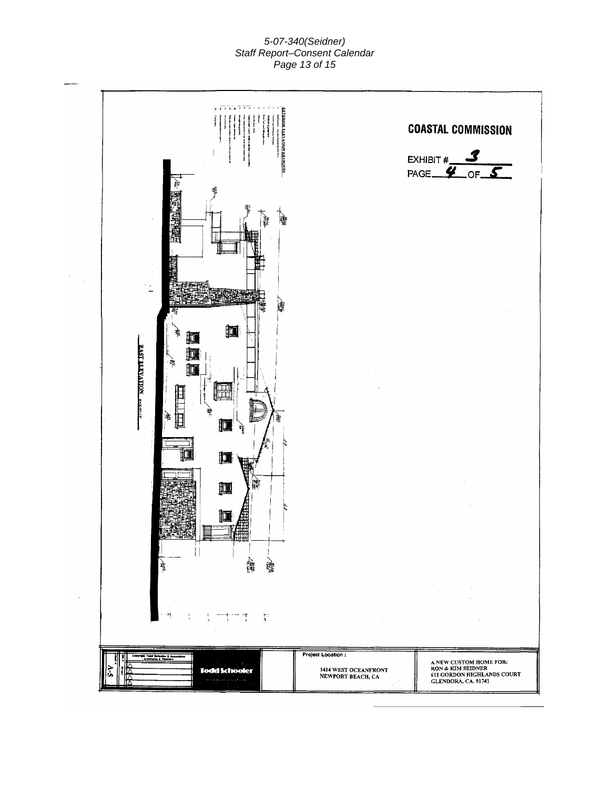#### *5-07-340(Seidner) Staff Report–Consent Calendar Page 13 of 15*